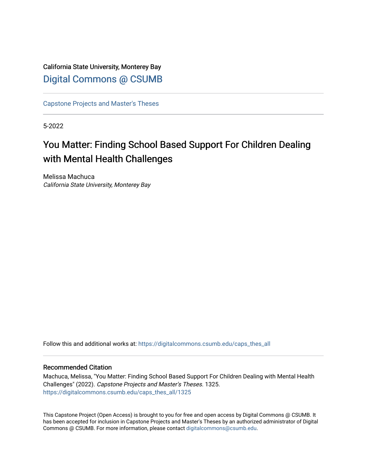# California State University, Monterey Bay [Digital Commons @ CSUMB](https://digitalcommons.csumb.edu/)

[Capstone Projects and Master's Theses](https://digitalcommons.csumb.edu/caps_thes_all)

5-2022

# You Matter: Finding School Based Support For Children Dealing with Mental Health Challenges

Melissa Machuca California State University, Monterey Bay

Follow this and additional works at: [https://digitalcommons.csumb.edu/caps\\_thes\\_all](https://digitalcommons.csumb.edu/caps_thes_all?utm_source=digitalcommons.csumb.edu%2Fcaps_thes_all%2F1325&utm_medium=PDF&utm_campaign=PDFCoverPages)

#### Recommended Citation

Machuca, Melissa, "You Matter: Finding School Based Support For Children Dealing with Mental Health Challenges" (2022). Capstone Projects and Master's Theses. 1325. [https://digitalcommons.csumb.edu/caps\\_thes\\_all/1325](https://digitalcommons.csumb.edu/caps_thes_all/1325?utm_source=digitalcommons.csumb.edu%2Fcaps_thes_all%2F1325&utm_medium=PDF&utm_campaign=PDFCoverPages) 

This Capstone Project (Open Access) is brought to you for free and open access by Digital Commons @ CSUMB. It has been accepted for inclusion in Capstone Projects and Master's Theses by an authorized administrator of Digital Commons @ CSUMB. For more information, please contact [digitalcommons@csumb.edu](mailto:digitalcommons@csumb.edu).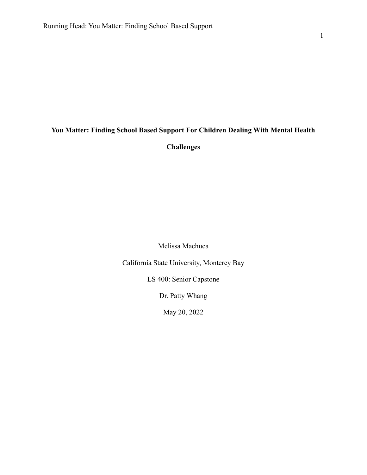# **You Matter: Finding School Based Support For Children Dealing With Mental Health**

**Challenges**

Melissa Machuca

California State University, Monterey Bay

LS 400: Senior Capstone

Dr. Patty Whang

May 20, 2022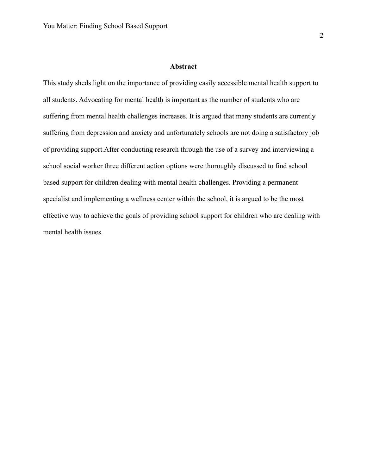#### **Abstract**

This study sheds light on the importance of providing easily accessible mental health support to all students. Advocating for mental health is important as the number of students who are suffering from mental health challenges increases. It is argued that many students are currently suffering from depression and anxiety and unfortunately schools are not doing a satisfactory job of providing support.After conducting research through the use of a survey and interviewing a school social worker three different action options were thoroughly discussed to find school based support for children dealing with mental health challenges. Providing a permanent specialist and implementing a wellness center within the school, it is argued to be the most effective way to achieve the goals of providing school support for children who are dealing with mental health issues.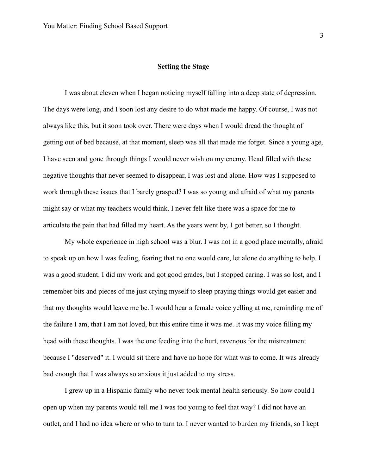# **Setting the Stage**

I was about eleven when I began noticing myself falling into a deep state of depression. The days were long, and I soon lost any desire to do what made me happy. Of course, I was not always like this, but it soon took over. There were days when I would dread the thought of getting out of bed because, at that moment, sleep was all that made me forget. Since a young age, I have seen and gone through things I would never wish on my enemy. Head filled with these negative thoughts that never seemed to disappear, I was lost and alone. How was I supposed to work through these issues that I barely grasped? I was so young and afraid of what my parents might say or what my teachers would think. I never felt like there was a space for me to articulate the pain that had filled my heart. As the years went by, I got better, so I thought.

My whole experience in high school was a blur. I was not in a good place mentally, afraid to speak up on how I was feeling, fearing that no one would care, let alone do anything to help. I was a good student. I did my work and got good grades, but I stopped caring. I was so lost, and I remember bits and pieces of me just crying myself to sleep praying things would get easier and that my thoughts would leave me be. I would hear a female voice yelling at me, reminding me of the failure I am, that I am not loved, but this entire time it was me. It was my voice filling my head with these thoughts. I was the one feeding into the hurt, ravenous for the mistreatment because I "deserved" it. I would sit there and have no hope for what was to come. It was already bad enough that I was always so anxious it just added to my stress.

I grew up in a Hispanic family who never took mental health seriously. So how could I open up when my parents would tell me I was too young to feel that way? I did not have an outlet, and I had no idea where or who to turn to. I never wanted to burden my friends, so I kept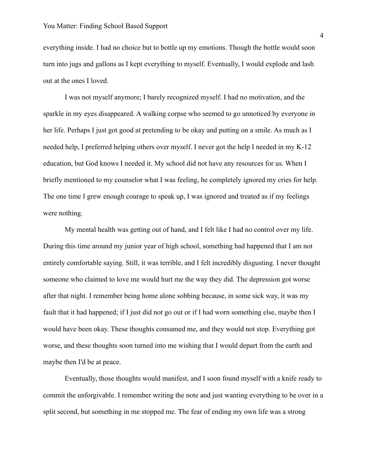everything inside. I had no choice but to bottle up my emotions. Though the bottle would soon turn into jugs and gallons as I kept everything to myself. Eventually, I would explode and lash out at the ones I loved.

I was not myself anymore; I barely recognized myself. I had no motivation, and the sparkle in my eyes disappeared. A walking corpse who seemed to go unnoticed by everyone in her life. Perhaps I just got good at pretending to be okay and putting on a smile. As much as I needed help, I preferred helping others over myself. I never got the help I needed in my K-12 education, but God knows I needed it. My school did not have any resources for us. When I briefly mentioned to my counselor what I was feeling, he completely ignored my cries for help. The one time I grew enough courage to speak up, I was ignored and treated as if my feelings were nothing.

My mental health was getting out of hand, and I felt like I had no control over my life. During this time around my junior year of high school, something had happened that I am not entirely comfortable saying. Still, it was terrible, and I felt incredibly disgusting. I never thought someone who claimed to love me would hurt me the way they did. The depression got worse after that night. I remember being home alone sobbing because, in some sick way, it was my fault that it had happened; if I just did not go out or if I had worn something else, maybe then I would have been okay. These thoughts consumed me, and they would not stop. Everything got worse, and these thoughts soon turned into me wishing that I would depart from the earth and maybe then I'd be at peace.

Eventually, those thoughts would manifest, and I soon found myself with a knife ready to commit the unforgivable. I remember writing the note and just wanting everything to be over in a split second, but something in me stopped me. The fear of ending my own life was a strong

4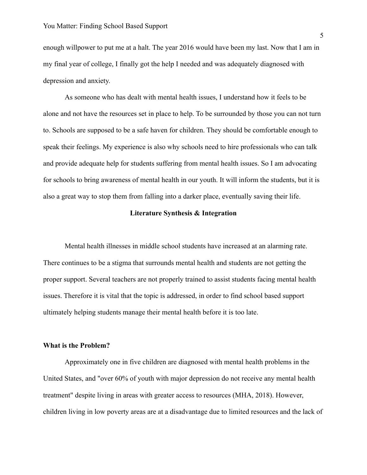enough willpower to put me at a halt. The year 2016 would have been my last. Now that I am in my final year of college, I finally got the help I needed and was adequately diagnosed with depression and anxiety.

As someone who has dealt with mental health issues, I understand how it feels to be alone and not have the resources set in place to help. To be surrounded by those you can not turn to. Schools are supposed to be a safe haven for children. They should be comfortable enough to speak their feelings. My experience is also why schools need to hire professionals who can talk and provide adequate help for students suffering from mental health issues. So I am advocating for schools to bring awareness of mental health in our youth. It will inform the students, but it is also a great way to stop them from falling into a darker place, eventually saving their life.

#### **Literature Synthesis & Integration**

Mental health illnesses in middle school students have increased at an alarming rate. There continues to be a stigma that surrounds mental health and students are not getting the proper support. Several teachers are not properly trained to assist students facing mental health issues. Therefore it is vital that the topic is addressed, in order to find school based support ultimately helping students manage their mental health before it is too late.

#### **What is the Problem?**

Approximately one in five children are diagnosed with mental health problems in the United States, and "over 60% of youth with major depression do not receive any mental health treatment" despite living in areas with greater access to resources (MHA, 2018). However, children living in low poverty areas are at a disadvantage due to limited resources and the lack of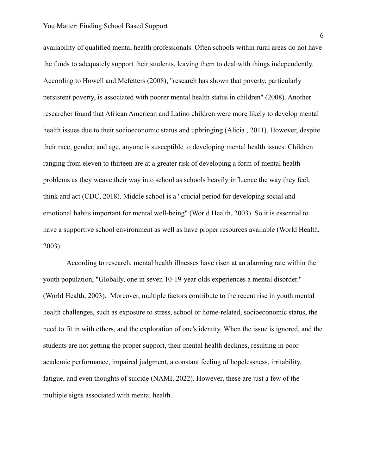availability of qualified mental health professionals. Often schools within rural areas do not have the funds to adequately support their students, leaving them to deal with things independently. According to Howell and Mcfetters (2008), "research has shown that poverty, particularly persistent poverty, is associated with poorer mental health status in children" (2008). Another researcher found that African American and Latino children were more likely to develop mental health issues due to their socioeconomic status and upbringing (Alicia , 2011). However, despite their race, gender, and age, anyone is susceptible to developing mental health issues. Children ranging from eleven to thirteen are at a greater risk of developing a form of mental health problems as they weave their way into school as schools heavily influence the way they feel, think and act (CDC, 2018). Middle school is a "crucial period for developing social and emotional habits important for mental well-being" (World Health, 2003). So it is essential to have a supportive school environment as well as have proper resources available (World Health, 2003).

According to research, mental health illnesses have risen at an alarming rate within the youth population, "Globally, one in seven 10-19-year olds experiences a mental disorder." (World Health, 2003). Moreover, multiple factors contribute to the recent rise in youth mental health challenges, such as exposure to stress, school or home-related, socioeconomic status, the need to fit in with others, and the exploration of one's identity. When the issue is ignored, and the students are not getting the proper support, their mental health declines, resulting in poor academic performance, impaired judgment, a constant feeling of hopelessness, irritability, fatigue, and even thoughts of suicide (NAMI, 2022). However, these are just a few of the multiple signs associated with mental health.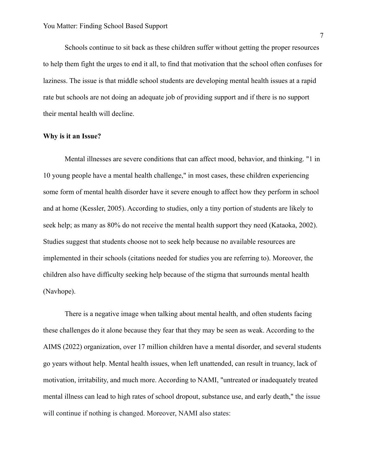Schools continue to sit back as these children suffer without getting the proper resources to help them fight the urges to end it all, to find that motivation that the school often confuses for laziness. The issue is that middle school students are developing mental health issues at a rapid rate but schools are not doing an adequate job of providing support and if there is no support their mental health will decline.

# **Why is it an Issue?**

Mental illnesses are severe conditions that can affect mood, behavior, and thinking. "1 in 10 young people have a mental health challenge," in most cases, these children experiencing some form of mental health disorder have it severe enough to affect how they perform in school and at home (Kessler, 2005). According to studies, only a tiny portion of students are likely to seek help; as many as 80% do not receive the mental health support they need (Kataoka, 2002). Studies suggest that students choose not to seek help because no available resources are implemented in their schools (citations needed for studies you are referring to). Moreover, the children also have difficulty seeking help because of the stigma that surrounds mental health (Navhope).

There is a negative image when talking about mental health, and often students facing these challenges do it alone because they fear that they may be seen as weak. According to the AIMS (2022) organization, over 17 million children have a mental disorder, and several students go years without help. Mental health issues, when left unattended, can result in truancy, lack of motivation, irritability, and much more. According to NAMI, "untreated or inadequately treated mental illness can lead to high rates of school dropout, substance use, and early death," the issue will continue if nothing is changed. Moreover, NAMI also states: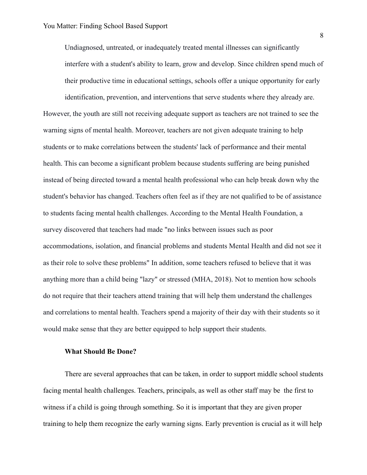Undiagnosed, untreated, or inadequately treated mental illnesses can significantly interfere with a student's ability to learn, grow and develop. Since children spend much of their productive time in educational settings, schools offer a unique opportunity for early

identification, prevention, and interventions that serve students where they already are. However, the youth are still not receiving adequate support as teachers are not trained to see the warning signs of mental health. Moreover, teachers are not given adequate training to help students or to make correlations between the students' lack of performance and their mental health. This can become a significant problem because students suffering are being punished instead of being directed toward a mental health professional who can help break down why the student's behavior has changed. Teachers often feel as if they are not qualified to be of assistance to students facing mental health challenges. According to the Mental Health Foundation, a survey discovered that teachers had made "no links between issues such as poor accommodations, isolation, and financial problems and students Mental Health and did not see it as their role to solve these problems" In addition, some teachers refused to believe that it was anything more than a child being "lazy" or stressed (MHA, 2018). Not to mention how schools do not require that their teachers attend training that will help them understand the challenges and correlations to mental health. Teachers spend a majority of their day with their students so it would make sense that they are better equipped to help support their students.

#### **What Should Be Done?**

There are several approaches that can be taken, in order to support middle school students facing mental health challenges. Teachers, principals, as well as other staff may be the first to witness if a child is going through something. So it is important that they are given proper training to help them recognize the early warning signs. Early prevention is crucial as it will help

8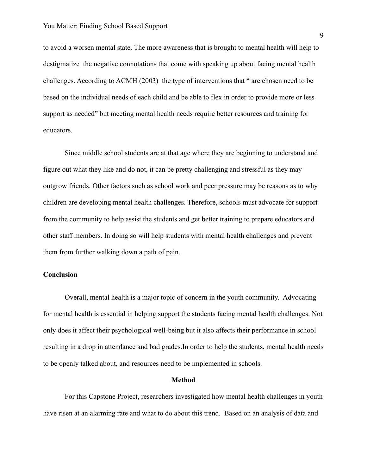to avoid a worsen mental state. The more awareness that is brought to mental health will help to destigmatize the negative connotations that come with speaking up about facing mental health challenges. According to ACMH (2003) the type of interventions that " are chosen need to be based on the individual needs of each child and be able to flex in order to provide more or less support as needed" but meeting mental health needs require better resources and training for educators.

Since middle school students are at that age where they are beginning to understand and figure out what they like and do not, it can be pretty challenging and stressful as they may outgrow friends. Other factors such as school work and peer pressure may be reasons as to why children are developing mental health challenges. Therefore, schools must advocate for support from the community to help assist the students and get better training to prepare educators and other staff members. In doing so will help students with mental health challenges and prevent them from further walking down a path of pain.

# **Conclusion**

Overall, mental health is a major topic of concern in the youth community. Advocating for mental health is essential in helping support the students facing mental health challenges. Not only does it affect their psychological well-being but it also affects their performance in school resulting in a drop in attendance and bad grades.In order to help the students, mental health needs to be openly talked about, and resources need to be implemented in schools.

# **Method**

For this Capstone Project, researchers investigated how mental health challenges in youth have risen at an alarming rate and what to do about this trend. Based on an analysis of data and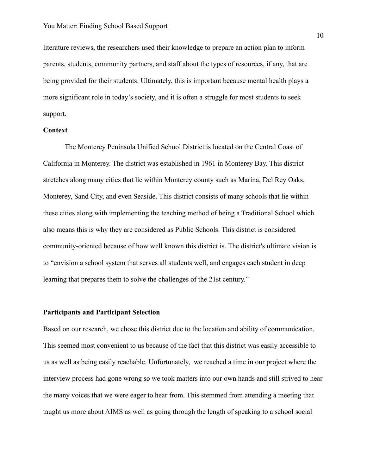literature reviews, the researchers used their knowledge to prepare an action plan to inform parents, students, community partners, and staff about the types of resources, if any, that are being provided for their students. Ultimately, this is important because mental health plays a more significant role in today's society, and it is often a struggle for most students to seek support.

#### **Context**

The Monterey Peninsula Unified School District is located on the Central Coast of California in Monterey. The district was established in 1961 in Monterey Bay. This district stretches along many cities that lie within Monterey county such as Marina, Del Rey Oaks, Monterey, Sand City, and even Seaside. This district consists of many schools that lie within these cities along with implementing the teaching method of being a Traditional School which also means this is why they are considered as Public Schools. This district is considered community-oriented because of how well known this district is. The district's ultimate vision is to "envision a school system that serves all students well, and engages each student in deep learning that prepares them to solve the challenges of the 21st century."

#### **Participants and Participant Selection**

Based on our research, we chose this district due to the location and ability of communication. This seemed most convenient to us because of the fact that this district was easily accessible to us as well as being easily reachable. Unfortunately, we reached a time in our project where the interview process had gone wrong so we took matters into our own hands and still strived to hear the many voices that we were eager to hear from. This stemmed from attending a meeting that taught us more about AIMS as well as going through the length of speaking to a school social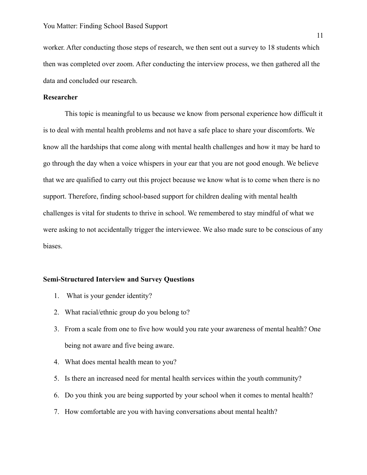worker. After conducting those steps of research, we then sent out a survey to 18 students which then was completed over zoom. After conducting the interview process, we then gathered all the data and concluded our research.

#### **Researcher**

This topic is meaningful to us because we know from personal experience how difficult it is to deal with mental health problems and not have a safe place to share your discomforts. We know all the hardships that come along with mental health challenges and how it may be hard to go through the day when a voice whispers in your ear that you are not good enough. We believe that we are qualified to carry out this project because we know what is to come when there is no support. Therefore, finding school-based support for children dealing with mental health challenges is vital for students to thrive in school. We remembered to stay mindful of what we were asking to not accidentally trigger the interviewee. We also made sure to be conscious of any biases.

#### **Semi-Structured Interview and Survey Questions**

- 1. What is your gender identity?
- 2. What racial/ethnic group do you belong to?
- 3. From a scale from one to five how would you rate your awareness of mental health? One being not aware and five being aware.
- 4. What does mental health mean to you?
- 5. Is there an increased need for mental health services within the youth community?
- 6. Do you think you are being supported by your school when it comes to mental health?
- 7. How comfortable are you with having conversations about mental health?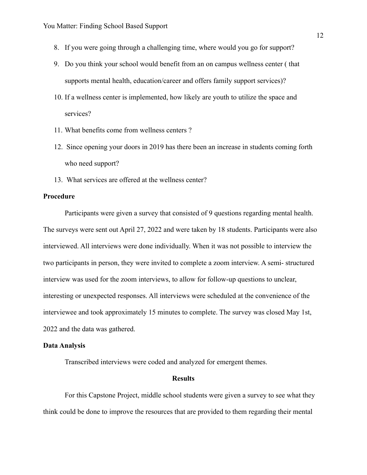- 8. If you were going through a challenging time, where would you go for support?
- 9. Do you think your school would benefit from an on campus wellness center ( that supports mental health, education/career and offers family support services)?
- 10. If a wellness center is implemented, how likely are youth to utilize the space and services?
- 11. What benefits come from wellness centers ?
- 12. Since opening your doors in 2019 has there been an increase in students coming forth who need support?
- 13. What services are offered at the wellness center?

# **Procedure**

Participants were given a survey that consisted of 9 questions regarding mental health. The surveys were sent out April 27, 2022 and were taken by 18 students. Participants were also interviewed. All interviews were done individually. When it was not possible to interview the two participants in person, they were invited to complete a zoom interview. A semi- structured interview was used for the zoom interviews, to allow for follow-up questions to unclear, interesting or unexpected responses. All interviews were scheduled at the convenience of the interviewee and took approximately 15 minutes to complete. The survey was closed May 1st, 2022 and the data was gathered.

#### **Data Analysis**

Transcribed interviews were coded and analyzed for emergent themes.

#### **Results**

For this Capstone Project, middle school students were given a survey to see what they think could be done to improve the resources that are provided to them regarding their mental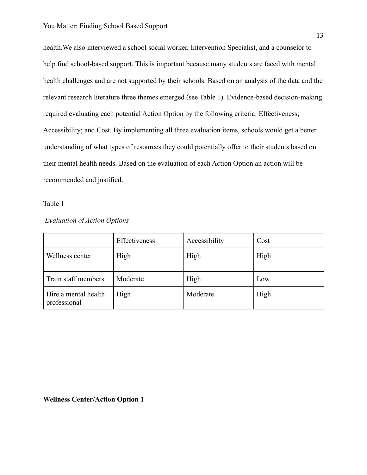health.We also interviewed a school social worker, Intervention Specialist, and a counselor to help find school-based support. This is important because many students are faced with mental health challenges and are not supported by their schools. Based on an analysis of the data and the relevant research literature three themes emerged (see Table 1). Evidence-based decision-making required evaluating each potential Action Option by the following criteria: Effectiveness; Accessibility; and Cost. By implementing all three evaluation items, schools would get a better understanding of what types of resources they could potentially offer to their students based on their mental health needs. Based on the evaluation of each Action Option an action will be recommended and justified.

Table 1

| <b>Evaluation of Action Options</b> |  |  |
|-------------------------------------|--|--|
|-------------------------------------|--|--|

|                                      | Effectiveness | Accessibility | Cost |
|--------------------------------------|---------------|---------------|------|
| Wellness center                      | High          | High          | High |
| Train staff members                  | Moderate      | High          | Low  |
| Hire a mental health<br>professional | High          | Moderate      | High |

# **Wellness Center/Action Option 1**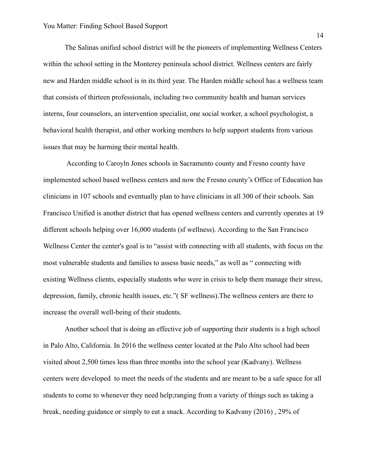The Salinas unified school district will be the pioneers of implementing Wellness Centers within the school setting in the Monterey peninsula school district. Wellness centers are fairly new and Harden middle school is in its third year. The Harden middle school has a wellness team that consists of thirteen professionals, including two community health and human services interns, four counselors, an intervention specialist, one social worker, a school psychologist, a behavioral health therapist, and other working members to help support students from various issues that may be harming their mental health.

According to Caroyln Jones schools in Sacramento county and Fresno county have implemented school based wellness centers and now the Fresno county's Office of Education has clinicians in 107 schools and eventually plan to have clinicians in all 300 of their schools. San Francisco Unified is another district that has opened wellness centers and currently operates at 19 different schools helping over 16,000 students (sf wellness). According to the San Francisco Wellness Center the center's goal is to "assist with connecting with all students, with focus on the most vulnerable students and families to assess basic needs," as well as " connecting with existing Wellness clients, especially students who were in crisis to help them manage their stress, depression, family, chronic health issues, etc."( SF wellness).The wellness centers are there to increase the overall well-being of their students.

Another school that is doing an effective job of supporting their students is a high school in Palo Alto, California. In 2016 the wellness center located at the Palo Alto school had been visited about 2,500 times less than three months into the school year (Kadvany). Wellness centers were developed to meet the needs of the students and are meant to be a safe space for all students to come to whenever they need help;ranging from a variety of things such as taking a break, needing guidance or simply to eat a snack. According to Kadvany (2016) , 29% of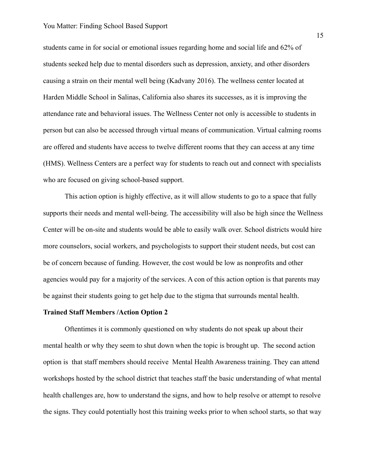students came in for social or emotional issues regarding home and social life and 62% of students seeked help due to mental disorders such as depression, anxiety, and other disorders causing a strain on their mental well being (Kadvany 2016). The wellness center located at Harden Middle School in Salinas, California also shares its successes, as it is improving the attendance rate and behavioral issues. The Wellness Center not only is accessible to students in person but can also be accessed through virtual means of communication. Virtual calming rooms are offered and students have access to twelve different rooms that they can access at any time (HMS). Wellness Centers are a perfect way for students to reach out and connect with specialists who are focused on giving school-based support.

This action option is highly effective, as it will allow students to go to a space that fully supports their needs and mental well-being. The accessibility will also be high since the Wellness Center will be on-site and students would be able to easily walk over. School districts would hire more counselors, social workers, and psychologists to support their student needs, but cost can be of concern because of funding. However, the cost would be low as nonprofits and other agencies would pay for a majority of the services. A con of this action option is that parents may be against their students going to get help due to the stigma that surrounds mental health.

#### **Trained Staff Members /Action Option 2**

Oftentimes it is commonly questioned on why students do not speak up about their mental health or why they seem to shut down when the topic is brought up. The second action option is that staff members should receive Mental Health Awareness training. They can attend workshops hosted by the school district that teaches staff the basic understanding of what mental health challenges are, how to understand the signs, and how to help resolve or attempt to resolve the signs. They could potentially host this training weeks prior to when school starts, so that way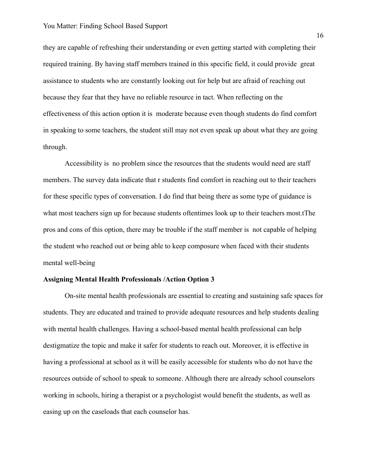they are capable of refreshing their understanding or even getting started with completing their required training. By having staff members trained in this specific field, it could provide great assistance to students who are constantly looking out for help but are afraid of reaching out because they fear that they have no reliable resource in tact. When reflecting on the effectiveness of this action option it is moderate because even though students do find comfort in speaking to some teachers, the student still may not even speak up about what they are going through.

Accessibility is no problem since the resources that the students would need are staff members. The survey data indicate that r students find comfort in reaching out to their teachers for these specific types of conversation. I do find that being there as some type of guidance is what most teachers sign up for because students oftentimes look up to their teachers most.tThe pros and cons of this option, there may be trouble if the staff member is not capable of helping the student who reached out or being able to keep composure when faced with their students mental well-being

#### **Assigning Mental Health Professionals /Action Option 3**

On-site mental health professionals are essential to creating and sustaining safe spaces for students. They are educated and trained to provide adequate resources and help students dealing with mental health challenges. Having a school-based mental health professional can help destigmatize the topic and make it safer for students to reach out. Moreover, it is effective in having a professional at school as it will be easily accessible for students who do not have the resources outside of school to speak to someone. Although there are already school counselors working in schools, hiring a therapist or a psychologist would benefit the students, as well as easing up on the caseloads that each counselor has.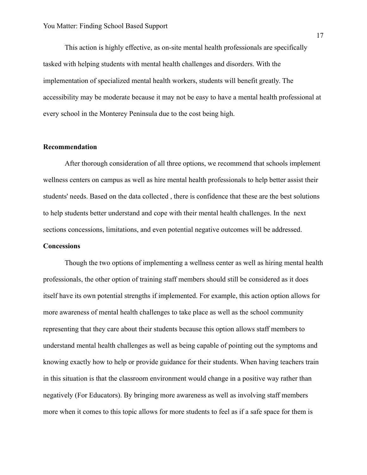This action is highly effective, as on-site mental health professionals are specifically tasked with helping students with mental health challenges and disorders. With the implementation of specialized mental health workers, students will benefit greatly. The accessibility may be moderate because it may not be easy to have a mental health professional at every school in the Monterey Peninsula due to the cost being high.

#### **Recommendation**

After thorough consideration of all three options, we recommend that schools implement wellness centers on campus as well as hire mental health professionals to help better assist their students' needs. Based on the data collected , there is confidence that these are the best solutions to help students better understand and cope with their mental health challenges. In the next sections concessions, limitations, and even potential negative outcomes will be addressed.

# **Concessions**

Though the two options of implementing a wellness center as well as hiring mental health professionals, the other option of training staff members should still be considered as it does itself have its own potential strengths if implemented. For example, this action option allows for more awareness of mental health challenges to take place as well as the school community representing that they care about their students because this option allows staff members to understand mental health challenges as well as being capable of pointing out the symptoms and knowing exactly how to help or provide guidance for their students. When having teachers train in this situation is that the classroom environment would change in a positive way rather than negatively (For Educators). By bringing more awareness as well as involving staff members more when it comes to this topic allows for more students to feel as if a safe space for them is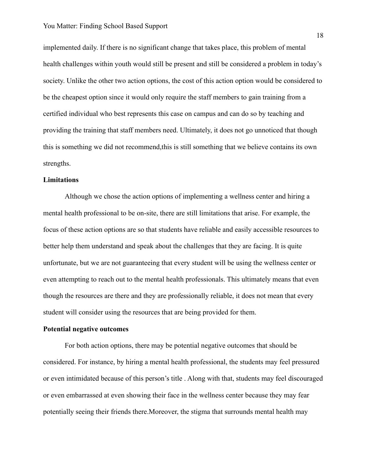implemented daily. If there is no significant change that takes place, this problem of mental health challenges within youth would still be present and still be considered a problem in today's society. Unlike the other two action options, the cost of this action option would be considered to be the cheapest option since it would only require the staff members to gain training from a certified individual who best represents this case on campus and can do so by teaching and providing the training that staff members need. Ultimately, it does not go unnoticed that though this is something we did not recommend,this is still something that we believe contains its own strengths.

#### **Limitations**

Although we chose the action options of implementing a wellness center and hiring a mental health professional to be on-site, there are still limitations that arise. For example, the focus of these action options are so that students have reliable and easily accessible resources to better help them understand and speak about the challenges that they are facing. It is quite unfortunate, but we are not guaranteeing that every student will be using the wellness center or even attempting to reach out to the mental health professionals. This ultimately means that even though the resources are there and they are professionally reliable, it does not mean that every student will consider using the resources that are being provided for them.

#### **Potential negative outcomes**

For both action options, there may be potential negative outcomes that should be considered. For instance, by hiring a mental health professional, the students may feel pressured or even intimidated because of this person's title . Along with that, students may feel discouraged or even embarrassed at even showing their face in the wellness center because they may fear potentially seeing their friends there.Moreover, the stigma that surrounds mental health may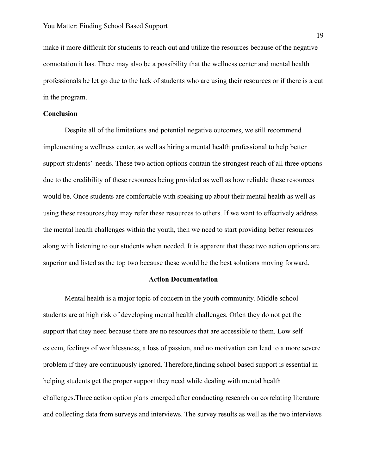make it more difficult for students to reach out and utilize the resources because of the negative connotation it has. There may also be a possibility that the wellness center and mental health professionals be let go due to the lack of students who are using their resources or if there is a cut in the program.

# **Conclusion**

Despite all of the limitations and potential negative outcomes, we still recommend implementing a wellness center, as well as hiring a mental health professional to help better support students' needs. These two action options contain the strongest reach of all three options due to the credibility of these resources being provided as well as how reliable these resources would be. Once students are comfortable with speaking up about their mental health as well as using these resources,they may refer these resources to others. If we want to effectively address the mental health challenges within the youth, then we need to start providing better resources along with listening to our students when needed. It is apparent that these two action options are superior and listed as the top two because these would be the best solutions moving forward.

#### **Action Documentation**

Mental health is a major topic of concern in the youth community. Middle school students are at high risk of developing mental health challenges. Often they do not get the support that they need because there are no resources that are accessible to them. Low self esteem, feelings of worthlessness, a loss of passion, and no motivation can lead to a more severe problem if they are continuously ignored. Therefore,finding school based support is essential in helping students get the proper support they need while dealing with mental health challenges.Three action option plans emerged after conducting research on correlating literature and collecting data from surveys and interviews. The survey results as well as the two interviews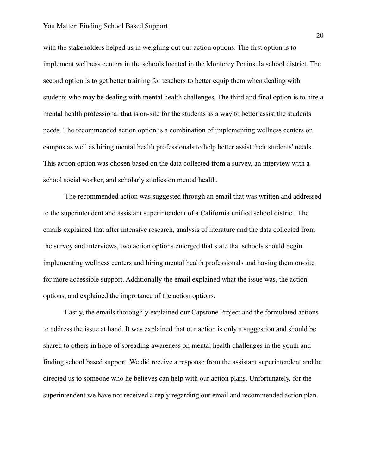with the stakeholders helped us in weighing out our action options. The first option is to implement wellness centers in the schools located in the Monterey Peninsula school district. The second option is to get better training for teachers to better equip them when dealing with students who may be dealing with mental health challenges. The third and final option is to hire a mental health professional that is on-site for the students as a way to better assist the students needs. The recommended action option is a combination of implementing wellness centers on campus as well as hiring mental health professionals to help better assist their students' needs. This action option was chosen based on the data collected from a survey, an interview with a school social worker, and scholarly studies on mental health.

The recommended action was suggested through an email that was written and addressed to the superintendent and assistant superintendent of a California unified school district. The emails explained that after intensive research, analysis of literature and the data collected from the survey and interviews, two action options emerged that state that schools should begin implementing wellness centers and hiring mental health professionals and having them on-site for more accessible support. Additionally the email explained what the issue was, the action options, and explained the importance of the action options.

Lastly, the emails thoroughly explained our Capstone Project and the formulated actions to address the issue at hand. It was explained that our action is only a suggestion and should be shared to others in hope of spreading awareness on mental health challenges in the youth and finding school based support. We did receive a response from the assistant superintendent and he directed us to someone who he believes can help with our action plans. Unfortunately, for the superintendent we have not received a reply regarding our email and recommended action plan.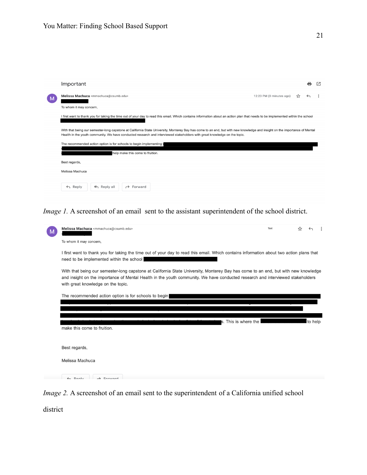

*Image 1.* A screenshot of an email sent to the assistant superintendent of the school district.

|                                                       | Melissa Machuca <mmachuca@csumb.edu></mmachuca@csumb.edu>                                                                                                                                                                                                                                                  | Text | ☆ |         |  |  |
|-------------------------------------------------------|------------------------------------------------------------------------------------------------------------------------------------------------------------------------------------------------------------------------------------------------------------------------------------------------------------|------|---|---------|--|--|
|                                                       | To whom it may concern,                                                                                                                                                                                                                                                                                    |      |   |         |  |  |
|                                                       | I first want to thank you for taking the time out of your day to read this email. Which contains information about two action plans that<br>need to be implemented within the school                                                                                                                       |      |   |         |  |  |
|                                                       | With that being our semester-long capstone at California State University, Monterey Bay has come to an end, but with new knowledge<br>and insight on the importance of Mental Health in the youth community. We have conducted research and interviewed stakeholders<br>with great knowledge on the topic. |      |   |         |  |  |
| The recommended action option is for schools to begin |                                                                                                                                                                                                                                                                                                            |      |   |         |  |  |
|                                                       |                                                                                                                                                                                                                                                                                                            |      |   |         |  |  |
|                                                       | s. This is where the l<br>make this come to fruition.                                                                                                                                                                                                                                                      |      |   | to help |  |  |
|                                                       |                                                                                                                                                                                                                                                                                                            |      |   |         |  |  |
|                                                       | Best regards,                                                                                                                                                                                                                                                                                              |      |   |         |  |  |
|                                                       | Melissa Machuca                                                                                                                                                                                                                                                                                            |      |   |         |  |  |
|                                                       | $\n  Bank\n$<br>$\rightarrow$ Equipped                                                                                                                                                                                                                                                                     |      |   |         |  |  |

*Image 2.* A screenshot of an email sent to the superintendent of a California unified school

district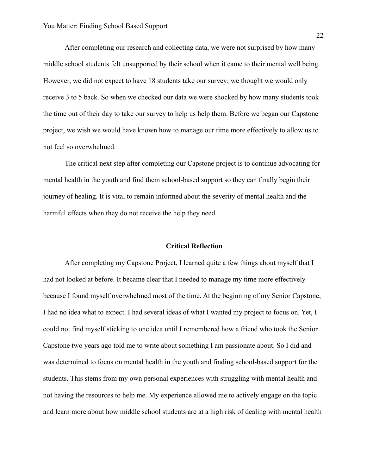After completing our research and collecting data, we were not surprised by how many middle school students felt unsupported by their school when it came to their mental well being. However, we did not expect to have 18 students take our survey; we thought we would only receive 3 to 5 back. So when we checked our data we were shocked by how many students took the time out of their day to take our survey to help us help them. Before we began our Capstone project, we wish we would have known how to manage our time more effectively to allow us to not feel so overwhelmed.

The critical next step after completing our Capstone project is to continue advocating for mental health in the youth and find them school-based support so they can finally begin their journey of healing. It is vital to remain informed about the severity of mental health and the harmful effects when they do not receive the help they need.

#### **Critical Reflection**

After completing my Capstone Project, I learned quite a few things about myself that I had not looked at before. It became clear that I needed to manage my time more effectively because I found myself overwhelmed most of the time. At the beginning of my Senior Capstone, I had no idea what to expect. I had several ideas of what I wanted my project to focus on. Yet, I could not find myself sticking to one idea until I remembered how a friend who took the Senior Capstone two years ago told me to write about something I am passionate about. So I did and was determined to focus on mental health in the youth and finding school-based support for the students. This stems from my own personal experiences with struggling with mental health and not having the resources to help me. My experience allowed me to actively engage on the topic and learn more about how middle school students are at a high risk of dealing with mental health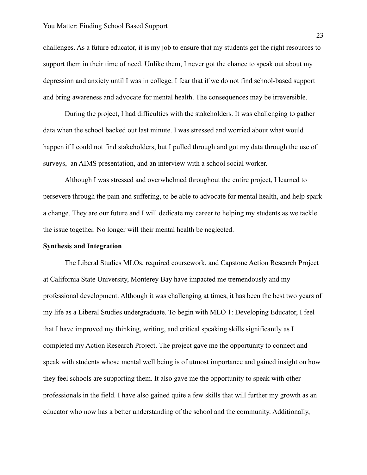challenges. As a future educator, it is my job to ensure that my students get the right resources to support them in their time of need. Unlike them, I never got the chance to speak out about my depression and anxiety until I was in college. I fear that if we do not find school-based support and bring awareness and advocate for mental health. The consequences may be irreversible.

During the project, I had difficulties with the stakeholders. It was challenging to gather data when the school backed out last minute. I was stressed and worried about what would happen if I could not find stakeholders, but I pulled through and got my data through the use of surveys, an AIMS presentation, and an interview with a school social worker.

Although I was stressed and overwhelmed throughout the entire project, I learned to persevere through the pain and suffering, to be able to advocate for mental health, and help spark a change. They are our future and I will dedicate my career to helping my students as we tackle the issue together. No longer will their mental health be neglected.

#### **Synthesis and Integration**

The Liberal Studies MLOs, required coursework, and Capstone Action Research Project at California State University, Monterey Bay have impacted me tremendously and my professional development. Although it was challenging at times, it has been the best two years of my life as a Liberal Studies undergraduate. To begin with MLO 1: Developing Educator, I feel that I have improved my thinking, writing, and critical speaking skills significantly as I completed my Action Research Project. The project gave me the opportunity to connect and speak with students whose mental well being is of utmost importance and gained insight on how they feel schools are supporting them. It also gave me the opportunity to speak with other professionals in the field. I have also gained quite a few skills that will further my growth as an educator who now has a better understanding of the school and the community. Additionally,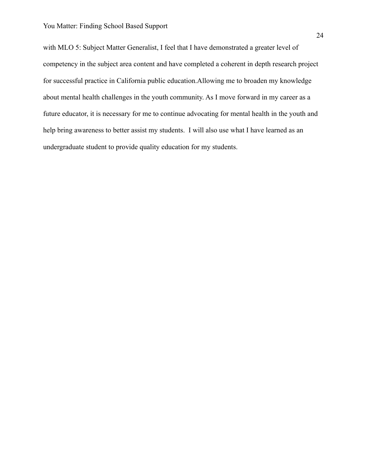with MLO 5: Subject Matter Generalist, I feel that I have demonstrated a greater level of competency in the subject area content and have completed a coherent in depth research project for successful practice in California public education.Allowing me to broaden my knowledge about mental health challenges in the youth community. As I move forward in my career as a future educator, it is necessary for me to continue advocating for mental health in the youth and help bring awareness to better assist my students. I will also use what I have learned as an undergraduate student to provide quality education for my students.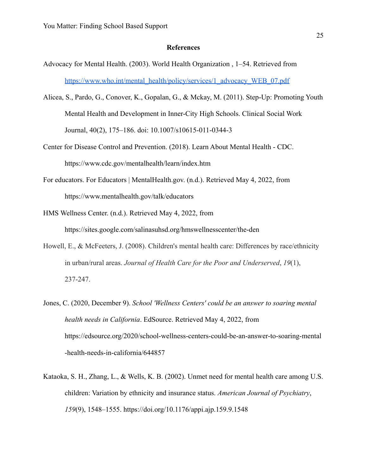#### **References**

- Advocacy for Mental Health. (2003). World Health Organization , 1–54. Retrieved from [https://www.who.int/mental\\_health/policy/services/1\\_advocacy\\_WEB\\_07.pdf](https://www.who.int/mental_health/policy/services/1_advocacy_WEB_07.pdf)
- Alicea, S., Pardo, G., Conover, K., Gopalan, G., & Mckay, M. (2011). Step-Up: Promoting Youth Mental Health and Development in Inner-City High Schools. Clinical Social Work Journal, 40(2), 175–186. doi: 10.1007/s10615-011-0344-3
- Center for Disease Control and Prevention. (2018). Learn About Mental Health CDC. https://www.cdc.gov/mentalhealth/learn/index.htm
- For educators. For Educators | MentalHealth.gov. (n.d.). Retrieved May 4, 2022, from https://www.mentalhealth.gov/talk/educators
- HMS Wellness Center. (n.d.). Retrieved May 4, 2022, from https://sites.google.com/salinasuhsd.org/hmswellnesscenter/the-den
- Howell, E., & McFeeters, J. (2008). Children's mental health care: Differences by race/ethnicity in urban/rural areas. *Journal of Health Care for the Poor and Underserved*, *19*(1), 237-247.
- Jones, C. (2020, December 9). *School 'Wellness Centers' could be an answer to soaring mental health needs in California*. EdSource. Retrieved May 4, 2022, from https://edsource.org/2020/school-wellness-centers-could-be-an-answer-to-soaring-mental -health-needs-in-california/644857
- Kataoka, S. H., Zhang, L., & Wells, K. B. (2002). Unmet need for mental health care among U.S. children: Variation by ethnicity and insurance status. *American Journal of Psychiatry*, *159*(9), 1548–1555. https://doi.org/10.1176/appi.ajp.159.9.1548